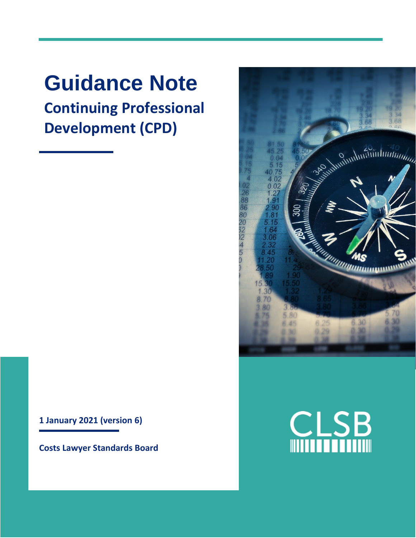# **Guidance Note Continuing Professional Development (CPD)**

**1 January 2021 (version 6)**

**Costs Lawyer Standards Board**



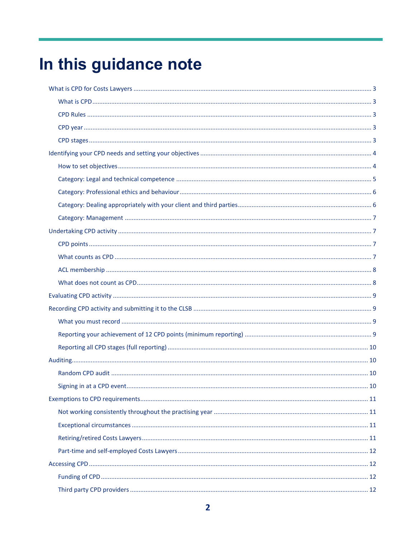# In this guidance note

<span id="page-1-0"></span>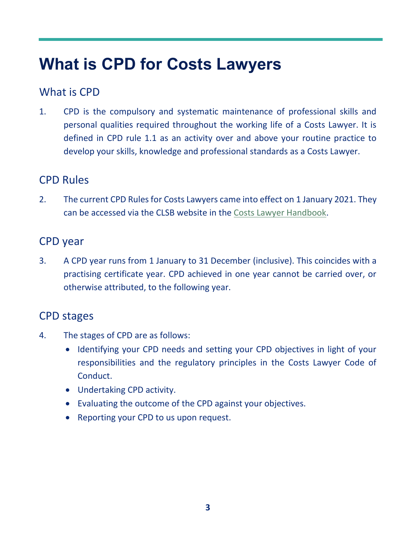## **What is CPD for Costs Lawyers**

### <span id="page-2-0"></span>What is CPD

1. CPD is the compulsory and systematic maintenance of professional skills and personal qualities required throughout the working life of a Costs Lawyer. It is defined in CPD rule 1.1 as an activity over and above your routine practice to develop your skills, knowledge and professional standards as a Costs Lawyer.

### <span id="page-2-1"></span>CPD Rules

2. The current CPD Rules for Costs Lawyers came into effect on 1 January 2021. They can be accessed via the CLSB website in the [Costs Lawyer Handbook.](https://clsb.info/for-costs-lawyers/costs-lawyer-handbook/)

#### <span id="page-2-2"></span>CPD year

3. A CPD year runs from 1 January to 31 December (inclusive). This coincides with a practising certificate year. CPD achieved in one year cannot be carried over, or otherwise attributed, to the following year.

### <span id="page-2-3"></span>CPD stages

- 4. The stages of CPD are as follows:
	- Identifying your CPD needs and setting your CPD objectives in light of your responsibilities and the regulatory principles in the Costs Lawyer Code of Conduct.
	- Undertaking CPD activity.
	- Evaluating the outcome of the CPD against your objectives.
	- Reporting your CPD to us upon request.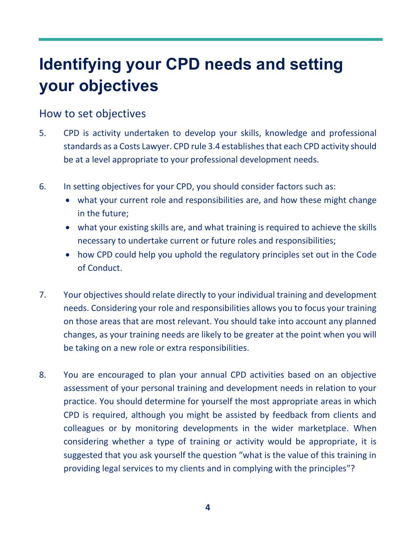## <span id="page-3-0"></span>**Identifying your CPD needs and setting your objectives**

#### <span id="page-3-1"></span>How to set objectives

- 5. CPD is activity undertaken to develop your skills, knowledge and professional standards as a Costs Lawyer. CPD rule 3.4 establishes that each CPD activity should be at a level appropriate to your professional development needs.
- 6. In setting objectives for your CPD, you should consider factors such as:
	- what your current role and responsibilities are, and how these might change in the future;
	- what your existing skills are, and what training is required to achieve the skills necessary to undertake current or future roles and responsibilities;
	- how CPD could help you uphold the regulatory principles set out in the Code of Conduct.
- 7. Your objectives should relate directly to your individual training and development needs. Considering your role and responsibilities allows you to focus your training on those areas that are most relevant. You should take into account any planned changes, as your training needs are likely to be greater at the point when you will be taking on a new role or extra responsibilities.
- 8. You are encouraged to plan your annual CPD activities based on an objective assessment of your personal training and development needs in relation to your practice. You should determine for yourself the most appropriate areas in which CPD is required, although you might be assisted by feedback from clients and colleagues or by monitoring developments in the wider marketplace. When considering whether a type of training or activity would be appropriate, it is suggested that you ask yourself the question "what is the value of this training in providing legal services to my clients and in complying with the principles"?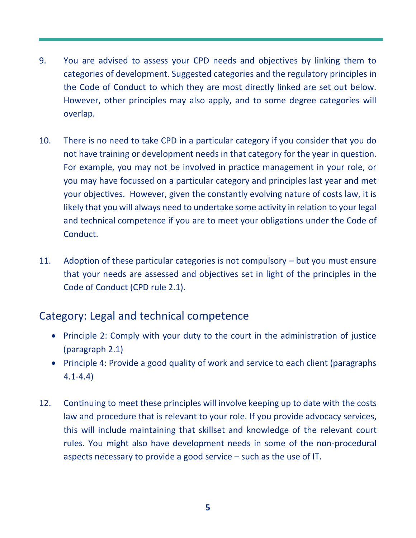- 9. You are advised to assess your CPD needs and objectives by linking them to categories of development. Suggested categories and the regulatory principles in the Code of Conduct to which they are most directly linked are set out below. However, other principles may also apply, and to some degree categories will overlap.
- 10. There is no need to take CPD in a particular category if you consider that you do not have training or development needs in that category for the year in question. For example, you may not be involved in practice management in your role, or you may have focussed on a particular category and principles last year and met your objectives. However, given the constantly evolving nature of costs law, it is likely that you will always need to undertake some activity in relation to your legal and technical competence if you are to meet your obligations under the Code of Conduct.
- 11. Adoption of these particular categories is not compulsory but you must ensure that your needs are assessed and objectives set in light of the principles in the Code of Conduct (CPD rule 2.1).

### <span id="page-4-0"></span>Category: Legal and technical competence

- Principle 2: Comply with your duty to the court in the administration of justice (paragraph 2.1)
- Principle 4: Provide a good quality of work and service to each client (paragraphs 4.1-4.4)
- <span id="page-4-1"></span>12. Continuing to meet these principles will involve keeping up to date with the costs law and procedure that is relevant to your role. If you provide advocacy services, this will include maintaining that skillset and knowledge of the relevant court rules. You might also have development needs in some of the non-procedural aspects necessary to provide a good service – such as the use of IT.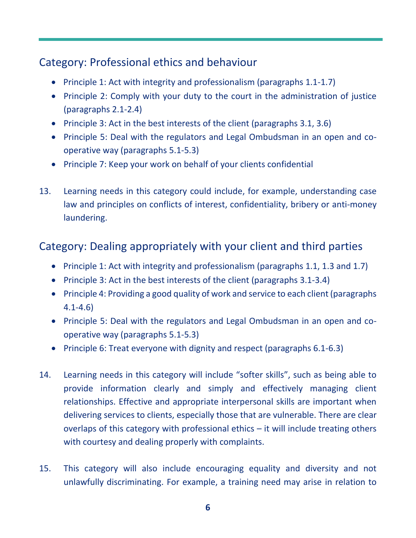### Category: Professional ethics and behaviour

- Principle 1: Act with integrity and professionalism (paragraphs 1.1-1.7)
- Principle 2: Comply with your duty to the court in the administration of justice (paragraphs 2.1-2.4)
- Principle 3: Act in the best interests of the client (paragraphs 3.1, 3.6)
- Principle 5: Deal with the regulators and Legal Ombudsman in an open and cooperative way (paragraphs 5.1-5.3)
- Principle 7: Keep your work on behalf of your clients confidential
- 13. Learning needs in this category could include, for example, understanding case law and principles on conflicts of interest, confidentiality, bribery or anti-money laundering.

## <span id="page-5-0"></span>Category: Dealing appropriately with your client and third parties

- Principle 1: Act with integrity and professionalism (paragraphs 1.1, 1.3 and 1.7)
- Principle 3: Act in the best interests of the client (paragraphs 3.1-3.4)
- Principle 4: Providing a good quality of work and service to each client (paragraphs 4.1-4.6)
- Principle 5: Deal with the regulators and Legal Ombudsman in an open and cooperative way (paragraphs 5.1-5.3)
- Principle 6: Treat everyone with dignity and respect (paragraphs 6.1-6.3)
- 14. Learning needs in this category will include "softer skills", such as being able to provide information clearly and simply and effectively managing client relationships. Effective and appropriate interpersonal skills are important when delivering services to clients, especially those that are vulnerable. There are clear overlaps of this category with professional ethics – it will include treating others with courtesy and dealing properly with complaints.
- 15. This category will also include encouraging equality and diversity and not unlawfully discriminating. For example, a training need may arise in relation to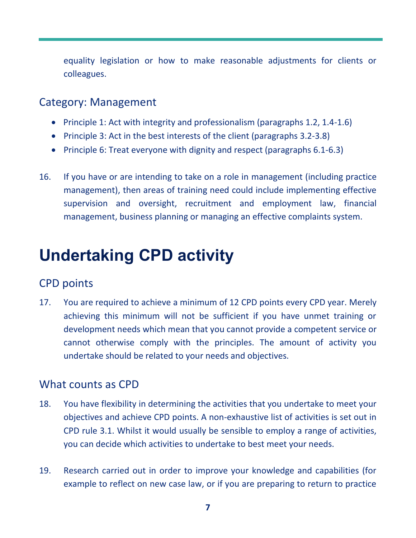equality legislation or how to make reasonable adjustments for clients or colleagues.

#### <span id="page-6-0"></span>Category: Management

- Principle 1: Act with integrity and professionalism (paragraphs 1.2, 1.4-1.6)
- Principle 3: Act in the best interests of the client (paragraphs 3.2-3.8)
- Principle 6: Treat everyone with dignity and respect (paragraphs 6.1-6.3)
- 16. If you have or are intending to take on a role in management (including practice management), then areas of training need could include implementing effective supervision and oversight, recruitment and employment law, financial management, business planning or managing an effective complaints system.

## <span id="page-6-1"></span>**Undertaking CPD activity**

### <span id="page-6-2"></span>CPD points

17. You are required to achieve a minimum of 12 CPD points every CPD year. Merely achieving this minimum will not be sufficient if you have unmet training or development needs which mean that you cannot provide a competent service or cannot otherwise comply with the principles. The amount of activity you undertake should be related to your needs and objectives.

#### <span id="page-6-3"></span>What counts as CPD

- 18. You have flexibility in determining the activities that you undertake to meet your objectives and achieve CPD points. A non-exhaustive list of activities is set out in CPD rule 3.1. Whilst it would usually be sensible to employ a range of activities, you can decide which activities to undertake to best meet your needs.
- 19. Research carried out in order to improve your knowledge and capabilities (for example to reflect on new case law, or if you are preparing to return to practice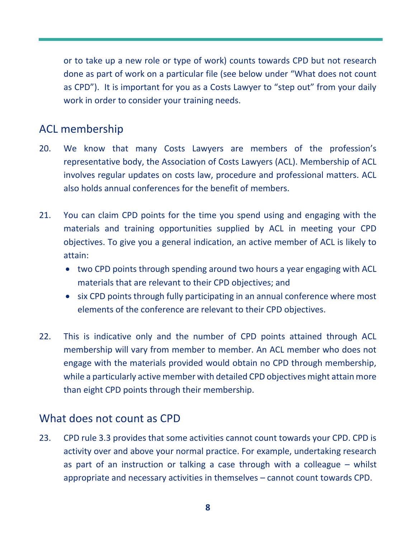or to take up a new role or type of work) counts towards CPD but not research done as part of work on a particular file (see below under "What does not count as CPD"). It is important for you as a Costs Lawyer to "step out" from your daily work in order to consider your training needs.

### <span id="page-7-0"></span>ACL membership

- 20. We know that many Costs Lawyers are members of the profession's representative body, the Association of Costs Lawyers (ACL). Membership of ACL involves regular updates on costs law, procedure and professional matters. ACL also holds annual conferences for the benefit of members.
- 21. You can claim CPD points for the time you spend using and engaging with the materials and training opportunities supplied by ACL in meeting your CPD objectives. To give you a general indication, an active member of ACL is likely to attain:
	- two CPD points through spending around two hours a year engaging with ACL materials that are relevant to their CPD objectives; and
	- six CPD points through fully participating in an annual conference where most elements of the conference are relevant to their CPD objectives.
- 22. This is indicative only and the number of CPD points attained through ACL membership will vary from member to member. An ACL member who does not engage with the materials provided would obtain no CPD through membership, while a particularly active member with detailed CPD objectives might attain more than eight CPD points through their membership.

#### <span id="page-7-1"></span>What does not count as CPD

23. CPD rule 3.3 provides that some activities cannot count towards your CPD. CPD is activity over and above your normal practice. For example, undertaking research as part of an instruction or talking a case through with a colleague – whilst appropriate and necessary activities in themselves – cannot count towards CPD.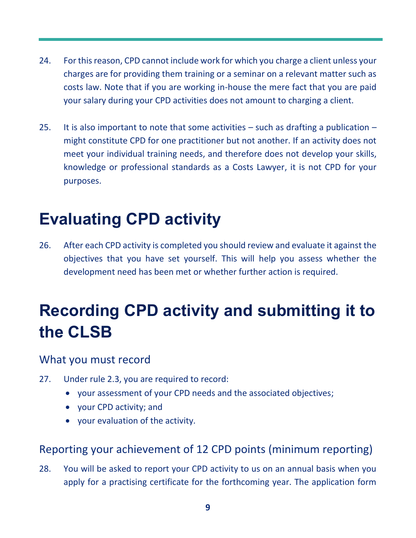- 24. For this reason, CPD cannot include work for which you charge a client unless your charges are for providing them training or a seminar on a relevant matter such as costs law. Note that if you are working in-house the mere fact that you are paid your salary during your CPD activities does not amount to charging a client.
- 25. It is also important to note that some activities  $-$  such as drafting a publication  $$ might constitute CPD for one practitioner but not another. If an activity does not meet your individual training needs, and therefore does not develop your skills, knowledge or professional standards as a Costs Lawyer, it is not CPD for your purposes.

## <span id="page-8-0"></span>**Evaluating CPD activity**

26. After each CPD activity is completed you should review and evaluate it against the objectives that you have set yourself. This will help you assess whether the development need has been met or whether further action is required.

## <span id="page-8-1"></span>**Recording CPD activity and submitting it to the CLSB**

#### <span id="page-8-2"></span>What you must record

- 27. Under rule 2.3, you are required to record:
	- your assessment of your CPD needs and the associated objectives;
	- your CPD activity; and
	- your evaluation of the activity.

### <span id="page-8-3"></span>Reporting your achievement of 12 CPD points (minimum reporting)

28. You will be asked to report your CPD activity to us on an annual basis when you apply for a practising certificate for the forthcoming year. The application form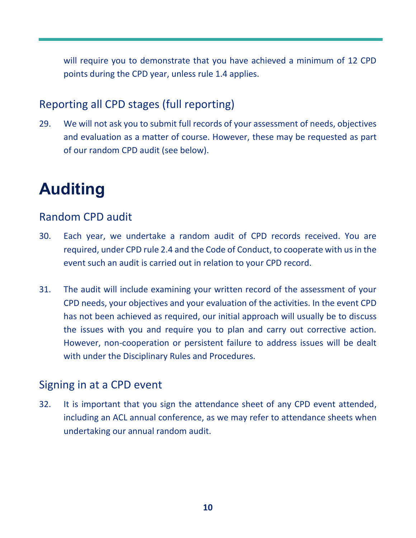will require you to demonstrate that you have achieved a minimum of 12 CPD points during the CPD year, unless rule 1.4 applies.

### <span id="page-9-0"></span>Reporting all CPD stages (full reporting)

29. We will not ask you to submit full records of your assessment of needs, objectives and evaluation as a matter of course. However, these may be requested as part of our random CPD audit (see below).

## <span id="page-9-1"></span>**Auditing**

#### <span id="page-9-2"></span>Random CPD audit

- 30. Each year, we undertake a random audit of CPD records received. You are required, under CPD rule 2.4 and the Code of Conduct, to cooperate with us in the event such an audit is carried out in relation to your CPD record.
- 31. The audit will include examining your written record of the assessment of your CPD needs, your objectives and your evaluation of the activities. In the event CPD has not been achieved as required, our initial approach will usually be to discuss the issues with you and require you to plan and carry out corrective action. However, non-cooperation or persistent failure to address issues will be dealt with under the Disciplinary Rules and Procedures.

#### <span id="page-9-3"></span>Signing in at a CPD event

32. It is important that you sign the attendance sheet of any CPD event attended, including an ACL annual conference, as we may refer to attendance sheets when undertaking our annual random audit.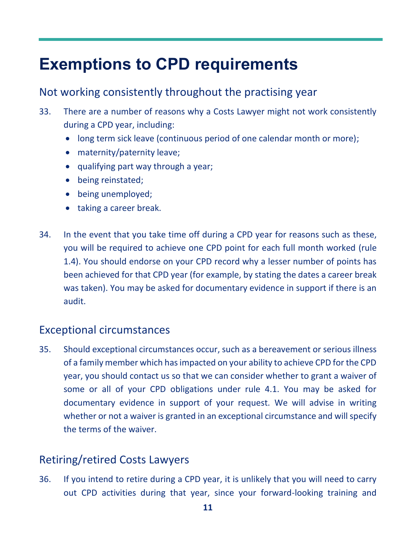## <span id="page-10-0"></span>**Exemptions to CPD requirements**

### <span id="page-10-1"></span>Not working consistently throughout the practising year

- 33. There are a number of reasons why a Costs Lawyer might not work consistently during a CPD year, including:
	- long term sick leave (continuous period of one calendar month or more);
	- maternity/paternity leave;
	- qualifying part way through a year;
	- being reinstated;
	- being unemployed;
	- taking a career break.
- 34. In the event that you take time off during a CPD year for reasons such as these, you will be required to achieve one CPD point for each full month worked (rule 1.4). You should endorse on your CPD record why a lesser number of points has been achieved for that CPD year (for example, by stating the dates a career break was taken). You may be asked for documentary evidence in support if there is an audit.

## <span id="page-10-2"></span>Exceptional circumstances

35. Should exceptional circumstances occur, such as a bereavement or serious illness of a family member which has impacted on your ability to achieve CPD for the CPD year, you should contact us so that we can consider whether to grant a waiver of some or all of your CPD obligations under rule 4.1. You may be asked for documentary evidence in support of your request. We will advise in writing whether or not a waiver is granted in an exceptional circumstance and will specify the terms of the waiver.

## <span id="page-10-3"></span>Retiring/retired Costs Lawyers

36. If you intend to retire during a CPD year, it is unlikely that you will need to carry out CPD activities during that year, since your forward-looking training and